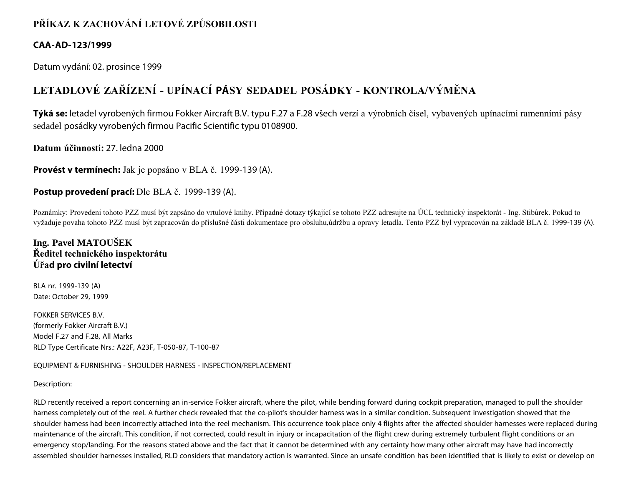## **PŘÍKAZ K ZACHOVÁNÍ LETOVÉ ZPŮSOBILOSTI**

#### **CAA-AD-123/1999**

Datum vydání: 02. prosince 1999

# **LETADLOVÉ ZAŘÍZENÍ - UPÍNACÍ PÁSY SEDADEL POSÁDKY - KONTROLA/VÝMĚNA**

**Týká se:** letadel vyrobených firmou Fokker Aircraft B.V. typu F.27 a F.28 všech verzí a výrobních čísel, vybavených upínacími ramenními pásy sedadel posádky vyrobených firmou Pacific Scientific typu 0108900.

**Datum účinnosti:** 27. ledna 2000

**Provést v termínech:** Jak je popsáno v BLA č. 1999-139 (A).

#### **Postup provedení prací:** Dle BLA č. 1999-139 (A).

Poznámky: Provedení tohoto PZZ musí být zapsáno do vrtulové knihy. Případné dotazy týkající se tohoto PZZ adresujte na ÚCL technický inspektorát - Ing. Stibůrek. Pokud to vyžaduje povaha tohoto PZZ musí být zapracován do příslušné části dokumentace pro obsluhu,údržbu a opravy letadla. Tento PZZ byl vypracován na základě BLA č. 1999-139 (A).

### **Ing. Pavel MATOUŠEK Ředitel technického inspektorátu Úřad pro civilní letectví**

BLA nr. 1999-139 (A) Date: October 29, 1999

FOKKER SERVICES B.V. (formerly Fokker Aircraft B.V.) Model F.27 and F.28, All Marks RLD Type Certificate Nrs.: A22F, A23F, T-050-87, T-100-87

EQUIPMENT & FURNISHING - SHOULDER HARNESS - INSPECTION/REPLACEMENT

#### Description:

RLD recently received a report concerning an in-service Fokker aircraft, where the pilot, while bending forward during cockpit preparation, managed to pull the shoulder harness completely out of the reel. A further check revealed that the co-pilot's shoulder harness was in a similar condition. Subsequent investigation showed that the shoulder harness had been incorrectly attached into the reel mechanism. This occurrence took place only 4 flights after the affected shoulder harnesses were replaced during maintenance of the aircraft. This condition, if not corrected, could result in injury or incapacitation of the flight crew during extremely turbulent flight conditions or an emergency stop/landing. For the reasons stated above and the fact that it cannot be determined with any certainty how many other aircraft may have had incorrectly assembled shoulder harnesses installed, RLD considers that mandatory action is warranted. Since an unsafe condition has been identified that is likely to exist or develop on